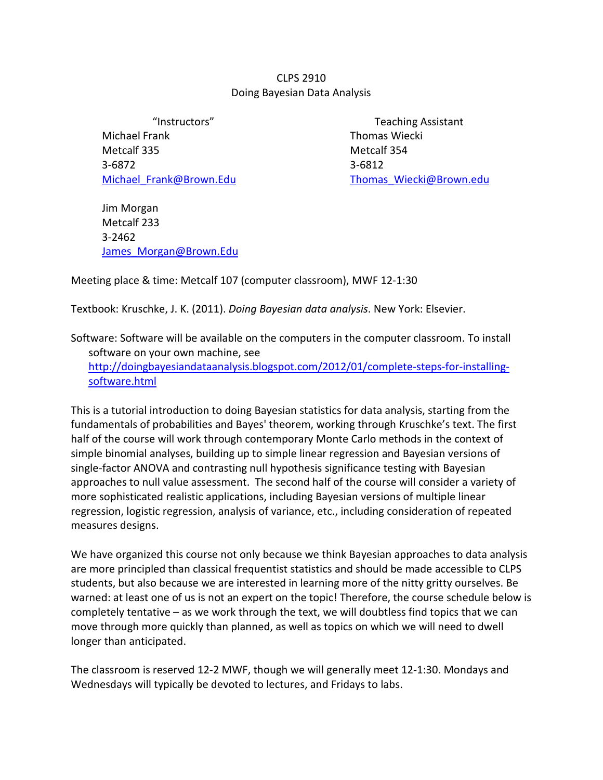## CLPS 2910 Doing Bayesian Data Analysis

Michael Frank Metcalf 335 3-6872 [Michael\\_Frank@Brown.Edu](mailto:Michael_Frank@Brown.Edu)

"Instructors" Teaching Assistant Thomas Wiecki Metcalf 354 3-6812 [Thomas\\_Wiecki@Brown.edu](mailto:Thomas_Wiecki@Brown.edu)

Jim Morgan Metcalf 233 3-2462 James Morgan@Brown.Edu

Meeting place & time: Metcalf 107 (computer classroom), MWF 12-1:30

Textbook: Kruschke, J. K. (2011). *Doing Bayesian data analysis*. New York: Elsevier.

Software: Software will be available on the computers in the computer classroom. To install software on your own machine, see [http://doingbayesiandataanalysis.blogspot.com/2012/01/complete-steps-for-installing](http://doingbayesiandataanalysis.blogspot.com/2012/01/complete-steps-for-installing-software.html)[software.html](http://doingbayesiandataanalysis.blogspot.com/2012/01/complete-steps-for-installing-software.html)

This is a tutorial introduction to doing Bayesian statistics for data analysis, starting from the fundamentals of probabilities and Bayes' theorem, working through Kruschke's text. The first half of the course will work through contemporary Monte Carlo methods in the context of simple binomial analyses, building up to simple linear regression and Bayesian versions of single-factor ANOVA and contrasting null hypothesis significance testing with Bayesian approaches to null value assessment. The second half of the course will consider a variety of more sophisticated realistic applications, including Bayesian versions of multiple linear regression, logistic regression, analysis of variance, etc., including consideration of repeated measures designs.

We have organized this course not only because we think Bayesian approaches to data analysis are more principled than classical frequentist statistics and should be made accessible to CLPS students, but also because we are interested in learning more of the nitty gritty ourselves. Be warned: at least one of us is not an expert on the topic! Therefore, the course schedule below is completely tentative – as we work through the text, we will doubtless find topics that we can move through more quickly than planned, as well as topics on which we will need to dwell longer than anticipated.

The classroom is reserved 12-2 MWF, though we will generally meet 12-1:30. Mondays and Wednesdays will typically be devoted to lectures, and Fridays to labs.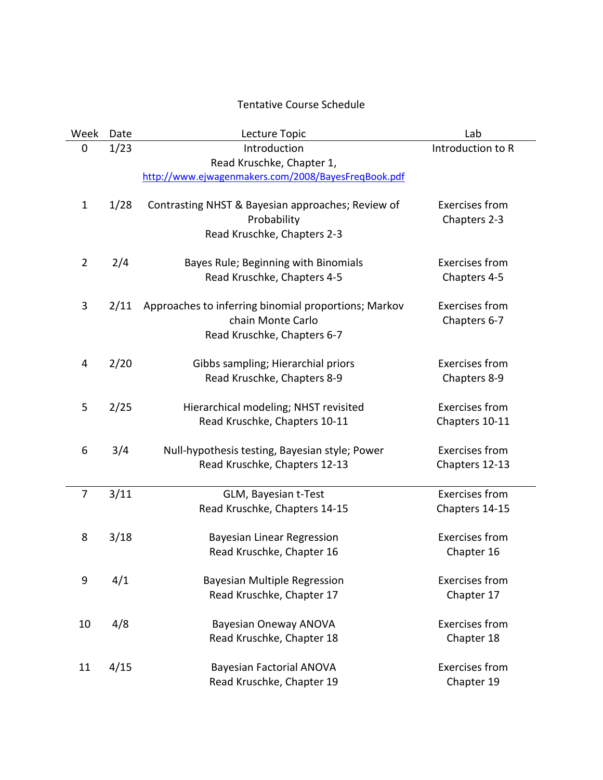## Tentative Course Schedule

| Week | Date | Lecture Topic                                                                                            | Lab                                     |
|------|------|----------------------------------------------------------------------------------------------------------|-----------------------------------------|
| 0    | 1/23 | Introduction<br>Read Kruschke, Chapter 1,<br>http://www.ejwagenmakers.com/2008/BayesFreqBook.pdf         | Introduction to R                       |
| 1    | 1/28 | Contrasting NHST & Bayesian approaches; Review of<br>Probability<br>Read Kruschke, Chapters 2-3          | <b>Exercises from</b><br>Chapters 2-3   |
| 2    | 2/4  | Bayes Rule; Beginning with Binomials<br>Read Kruschke, Chapters 4-5                                      | <b>Exercises from</b><br>Chapters 4-5   |
| 3    | 2/11 | Approaches to inferring binomial proportions; Markov<br>chain Monte Carlo<br>Read Kruschke, Chapters 6-7 | <b>Exercises from</b><br>Chapters 6-7   |
| 4    | 2/20 | Gibbs sampling; Hierarchial priors<br>Read Kruschke, Chapters 8-9                                        | <b>Exercises from</b><br>Chapters 8-9   |
| 5    | 2/25 | Hierarchical modeling; NHST revisited<br>Read Kruschke, Chapters 10-11                                   | <b>Exercises from</b><br>Chapters 10-11 |
| 6    | 3/4  | Null-hypothesis testing, Bayesian style; Power<br>Read Kruschke, Chapters 12-13                          | <b>Exercises from</b><br>Chapters 12-13 |
| 7    | 3/11 | GLM, Bayesian t-Test<br>Read Kruschke, Chapters 14-15                                                    | <b>Exercises from</b><br>Chapters 14-15 |
| 8    | 3/18 | Bayesian Linear Regression<br>Read Kruschke, Chapter 16                                                  | <b>Exercises from</b><br>Chapter 16     |
| 9    | 4/1  | <b>Bayesian Multiple Regression</b><br>Read Kruschke, Chapter 17                                         | <b>Exercises from</b><br>Chapter 17     |
| 10   | 4/8  | <b>Bayesian Oneway ANOVA</b><br>Read Kruschke, Chapter 18                                                | <b>Exercises from</b><br>Chapter 18     |
| 11   | 4/15 | <b>Bayesian Factorial ANOVA</b><br>Read Kruschke, Chapter 19                                             | <b>Exercises from</b><br>Chapter 19     |